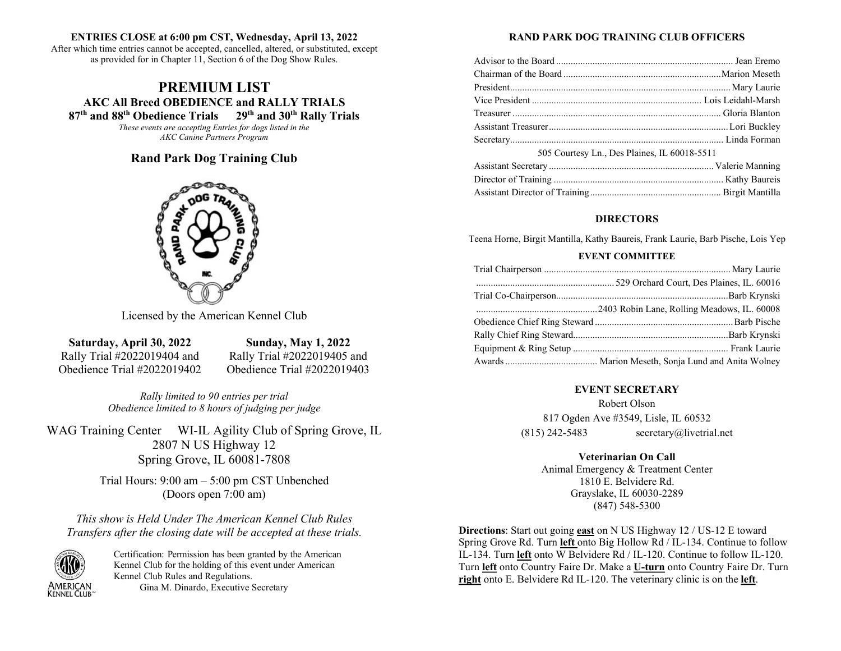## ENTRIES CLOSE at 6:00 pm CST, Wednesday, April 13, 2022

After which time entries cannot be accepted, cancelled, altered, or substituted, except as provided for in Chapter 11, Section 6 of the Dog Show Rules.

## PREMIUM LIST AKC All Breed OBEDIENCE and RALLY TRIALS  $87<sup>th</sup>$  and  $88<sup>th</sup>$  Obedience Trials 29<sup>th</sup> and 30<sup>th</sup> Rally Trials These events are accepting Entries for dogs listed in the AKC Canine Partners Program

# Rand Park Dog Training Club



Licensed by the American Kennel Club

Saturday, April 30, 2022 Rally Trial #2022019404 and Obedience Trial #2022019402

Sunday, May 1, 2022 Rally Trial #2022019405 and Obedience Trial #2022019403

Rally limited to 90 entries per trial Obedience limited to 8 hours of judging per judge

WAG Training Center WI-IL Agility Club of Spring Grove, IL 2807 N US Highway 12 Spring Grove, IL 60081-7808

> Trial Hours: 9:00 am – 5:00 pm CST Unbenched (Doors open 7:00 am)

This show is Held Under The American Kennel Club Rules Transfers after the closing date will be accepted at these trials.



Certification: Permission has been granted by the American Kennel Club for the holding of this event under American Kennel Club Rules and Regulations. Gina M. Dinardo, Executive Secretary

# RAND PARK DOG TRAINING CLUB OFFICERS

| 505 Courtesy Ln., Des Plaines, IL 60018-5511 |  |
|----------------------------------------------|--|

Assistant Secretary .................................................................... Valerie Manning Director of Training ...................................................................... Kathy Baureis Assistant Director of Training ...................................................... Birgit Mantilla

## **DIRECTORS**

Teena Horne, Birgit Mantilla, Kathy Baureis, Frank Laurie, Barb Pische, Lois Yep

#### EVENT COMMITTEE

## EVENT SECRETARY

Robert Olson 817 Ogden Ave #3549, Lisle, IL 60532 (815) 242-5483 secretary@livetrial.net

Veterinarian On Call Animal Emergency & Treatment Center 1810 E. Belvidere Rd. Grayslake, IL 60030-2289 (847) 548-5300

Directions: Start out going east on N US Highway 12 / US-12 E toward Spring Grove Rd. Turn left onto Big Hollow Rd / IL-134. Continue to follow IL-134. Turn left onto W Belvidere Rd / IL-120. Continue to follow IL-120. Turn left onto Country Faire Dr. Make a U-turn onto Country Faire Dr. Turn right onto E. Belvidere Rd IL-120. The veterinary clinic is on the left.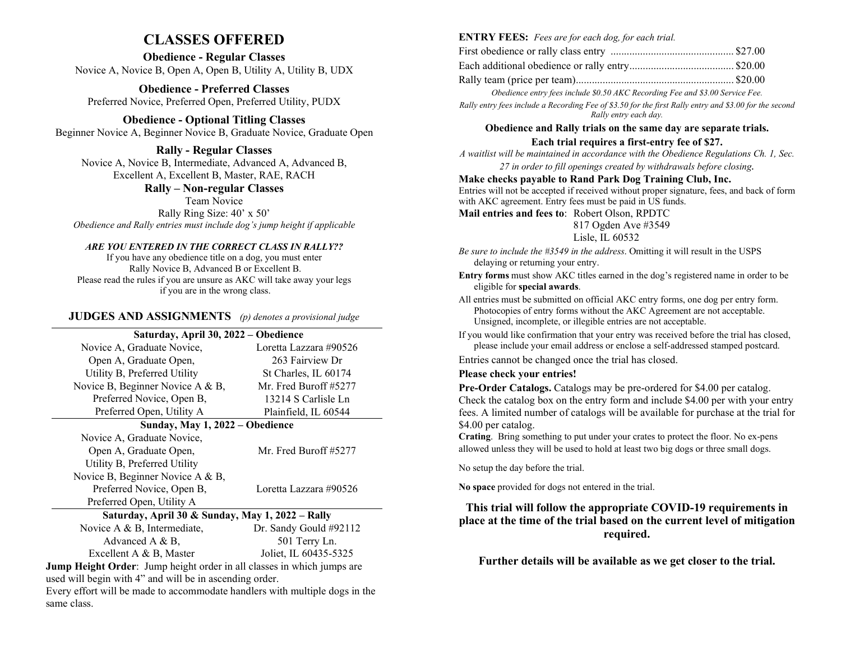# CLASSES OFFERED

Obedience - Regular Classes Novice A, Novice B, Open A, Open B, Utility A, Utility B, UDX

Obedience - Preferred Classes Preferred Novice, Preferred Open, Preferred Utility, PUDX

Obedience - Optional Titling Classes Beginner Novice A, Beginner Novice B, Graduate Novice, Graduate Open

## Rally - Regular Classes

Novice A, Novice B, Intermediate, Advanced A, Advanced B, Excellent A, Excellent B, Master, RAE, RACH

## Rally – Non-regular Classes

Team Novice Rally Ring Size: 40' x 50' Obedience and Rally entries must include dog's jump height if applicable

### ARE YOU ENTERED IN THE CORRECT CLASS IN RALLY??

If you have any obedience title on a dog, you must enter Rally Novice B, Advanced B or Excellent B. Please read the rules if you are unsure as AKC will take away your legs if you are in the wrong class.

## JUDGES AND ASSIGNMENTS (p) denotes a provisional judge

| Saturday, April 30, 2022 – Obedience             |                        |
|--------------------------------------------------|------------------------|
| Novice A, Graduate Novice,                       | Loretta Lazzara #90526 |
| Open A, Graduate Open,                           | 263 Fairview Dr        |
| Utility B, Preferred Utility                     | St Charles, IL 60174   |
| Novice B, Beginner Novice A & B,                 | Mr. Fred Buroff #5277  |
| Preferred Novice, Open B,                        | 13214 S Carlisle Ln    |
| Preferred Open, Utility A                        | Plainfield, IL 60544   |
| Sunday, May 1, 2022 – Obedience                  |                        |
| Novice A, Graduate Novice,                       |                        |
| Open A, Graduate Open,                           | Mr. Fred Buroff #5277  |
| Utility B, Preferred Utility                     |                        |
| Novice B, Beginner Novice A & B,                 |                        |
| Preferred Novice, Open B,                        | Loretta Lazzara #90526 |
| Preferred Open, Utility A                        |                        |
| Saturday, April 30 & Sunday, May 1, 2022 – Rally |                        |
| Novice A & B, Intermediate,                      | Dr. Sandy Gould #92112 |
| Advanced A & B.                                  | 501 Terry Ln.          |

Excellent A & B, Master

Joliet, IL 60435-5325

Jump Height Order: Jump height order in all classes in which jumps are used will begin with 4" and will be in ascending order.

Every effort will be made to accommodate handlers with multiple dogs in the same class.

ENTRY FEES: Fees are for each dog, for each trial.

| $\mathbf{r}$ , and the state of the state $\mathbf{r}$ | 0.2000 |
|--------------------------------------------------------|--------|

Each additional obedience or rally entry ....................................... \$20.00

Rally team (price per team) ........................................................... \$20.00

Obedience entry fees include \$0.50 AKC Recording Fee and \$3.00 Service Fee.

Rally entry fees include a Recording Fee of \$3.50 for the first Rally entry and \$3.00 for the second Rally entry each day.

#### Obedience and Rally trials on the same day are separate trials.

#### Each trial requires a first-entry fee of \$27.

A waitlist will be maintained in accordance with the Obedience Regulations Ch. 1, Sec. 27 in order to fill openings created by withdrawals before closing.

#### Make checks payable to Rand Park Dog Training Club, Inc.

Entries will not be accepted if received without proper signature, fees, and back of form with AKC agreement. Entry fees must be paid in US funds.

Mail entries and fees to: Robert Olson, RPDTC

817 Ogden Ave #3549

#### Lisle, IL 60532

Be sure to include the #3549 in the address. Omitting it will result in the USPS delaying or returning your entry.

Entry forms must show AKC titles earned in the dog's registered name in order to be eligible for special awards.

All entries must be submitted on official AKC entry forms, one dog per entry form. Photocopies of entry forms without the AKC Agreement are not acceptable. Unsigned, incomplete, or illegible entries are not acceptable.

If you would like confirmation that your entry was received before the trial has closed, please include your email address or enclose a self-addressed stamped postcard.

Entries cannot be changed once the trial has closed.

#### Please check your entries!

Pre-Order Catalogs. Catalogs may be pre-ordered for \$4.00 per catalog. Check the catalog box on the entry form and include \$4.00 per with your entry fees. A limited number of catalogs will be available for purchase at the trial for \$4.00 per catalog.

Crating. Bring something to put under your crates to protect the floor. No ex-pens allowed unless they will be used to hold at least two big dogs or three small dogs.

No setup the day before the trial.

No space provided for dogs not entered in the trial.

## This trial will follow the appropriate COVID-19 requirements in place at the time of the trial based on the current level of mitigation required.

Further details will be available as we get closer to the trial.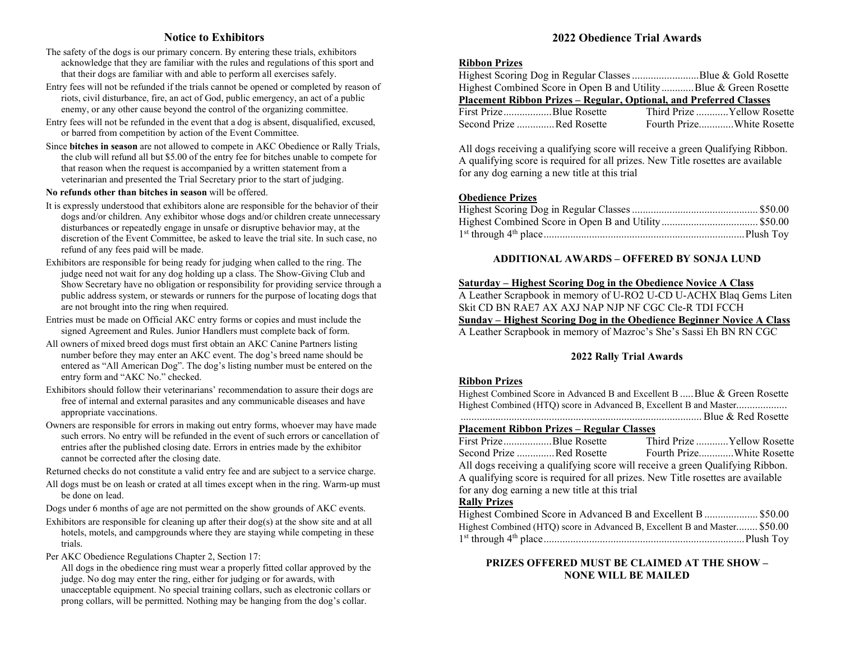## Notice to Exhibitors

- The safety of the dogs is our primary concern. By entering these trials, exhibitors acknowledge that they are familiar with the rules and regulations of this sport and that their dogs are familiar with and able to perform all exercises safely.
- Entry fees will not be refunded if the trials cannot be opened or completed by reason of riots, civil disturbance, fire, an act of God, public emergency, an act of a public enemy, or any other cause beyond the control of the organizing committee.
- Entry fees will not be refunded in the event that a dog is absent, disqualified, excused, or barred from competition by action of the Event Committee.
- Since bitches in season are not allowed to compete in AKC Obedience or Rally Trials, the club will refund all but \$5.00 of the entry fee for bitches unable to compete for that reason when the request is accompanied by a written statement from a veterinarian and presented the Trial Secretary prior to the start of judging.

#### No refunds other than bitches in season will be offered.

- It is expressly understood that exhibitors alone are responsible for the behavior of their dogs and/or children. Any exhibitor whose dogs and/or children create unnecessary disturbances or repeatedly engage in unsafe or disruptive behavior may, at the discretion of the Event Committee, be asked to leave the trial site. In such case, no refund of any fees paid will be made.
- Exhibitors are responsible for being ready for judging when called to the ring. The judge need not wait for any dog holding up a class. The Show-Giving Club and Show Secretary have no obligation or responsibility for providing service through a public address system, or stewards or runners for the purpose of locating dogs that are not brought into the ring when required.
- Entries must be made on Official AKC entry forms or copies and must include the signed Agreement and Rules. Junior Handlers must complete back of form.
- All owners of mixed breed dogs must first obtain an AKC Canine Partners listing number before they may enter an AKC event. The dog's breed name should be entered as "All American Dog". The dog's listing number must be entered on the entry form and "AKC No." checked.
- Exhibitors should follow their veterinarians' recommendation to assure their dogs are free of internal and external parasites and any communicable diseases and have appropriate vaccinations.
- Owners are responsible for errors in making out entry forms, whoever may have made such errors. No entry will be refunded in the event of such errors or cancellation of entries after the published closing date. Errors in entries made by the exhibitor cannot be corrected after the closing date.
- Returned checks do not constitute a valid entry fee and are subject to a service charge.
- All dogs must be on leash or crated at all times except when in the ring. Warm-up must be done on lead.
- Dogs under 6 months of age are not permitted on the show grounds of AKC events.
- Exhibitors are responsible for cleaning up after their  $\log(s)$  at the show site and at all hotels, motels, and campgrounds where they are staying while competing in these trials.
- Per AKC Obedience Regulations Chapter 2, Section 17:

All dogs in the obedience ring must wear a properly fitted collar approved by the judge. No dog may enter the ring, either for judging or for awards, with unacceptable equipment. No special training collars, such as electronic collars or prong collars, will be permitted. Nothing may be hanging from the dog's collar.

## 2022 Obedience Trial Awards

#### Ribbon Prizes

|                          | Highest Scoring Dog in Regular Classes Blue & Gold Rosette                |                            |
|--------------------------|---------------------------------------------------------------------------|----------------------------|
|                          | Highest Combined Score in Open B and Utility Blue & Green Rosette         |                            |
|                          | <b>Placement Ribbon Prizes - Regular, Optional, and Preferred Classes</b> |                            |
| First PrizeBlue Rosette  |                                                                           | Third Prize Yellow Rosette |
| Second Prize Red Rosette |                                                                           | Fourth PrizeWhite Rosette  |

All dogs receiving a qualifying score will receive a green Qualifying Ribbon. A qualifying score is required for all prizes. New Title rosettes are available for any dog earning a new title at this trial

## Obedience Prizes

## ADDITIONAL AWARDS – OFFERED BY SONJA LUND

### Saturday – Highest Scoring Dog in the Obedience Novice A Class

A Leather Scrapbook in memory of U-RO2 U-CD U-ACHX Blaq Gems Liten Skit CD BN RAE7 AX AXJ NAP NJP NF CGC Cle-R TDI FCCH

## Sunday – Highest Scoring Dog in the Obedience Beginner Novice A Class

A Leather Scrapbook in memory of Mazroc's She's Sassi Eh BN RN CGC

## 2022 Rally Trial Awards

## Ribbon Prizes

Highest Combined Score in Advanced B and Excellent B ..... Blue & Green Rosette Highest Combined (HTQ) score in Advanced B, Excellent B and Master..................

.......................................................................................... Blue & Red Rosette

## Placement Ribbon Prizes – Regular Classes

| First PrizeBlue Rosette  |                                               |                                                                                 | Third Prize Yellow Rosette |
|--------------------------|-----------------------------------------------|---------------------------------------------------------------------------------|----------------------------|
| Second Prize Red Rosette |                                               |                                                                                 | Fourth PrizeWhite Rosette  |
|                          |                                               | All dogs receiving a qualifying score will receive a green Qualifying Ribbon.   |                            |
|                          |                                               | A qualifying score is required for all prizes. New Title rosettes are available |                            |
|                          | for any dog earning a new title at this trial |                                                                                 |                            |

## Rally Prizes

| Highest Combined Score in Advanced B and Excellent B  \$50.00              |  |
|----------------------------------------------------------------------------|--|
| Highest Combined (HTQ) score in Advanced B, Excellent B and Master \$50.00 |  |
|                                                                            |  |

## PRIZES OFFERED MUST BE CLAIMED AT THE SHOW – NONE WILL BE MAILED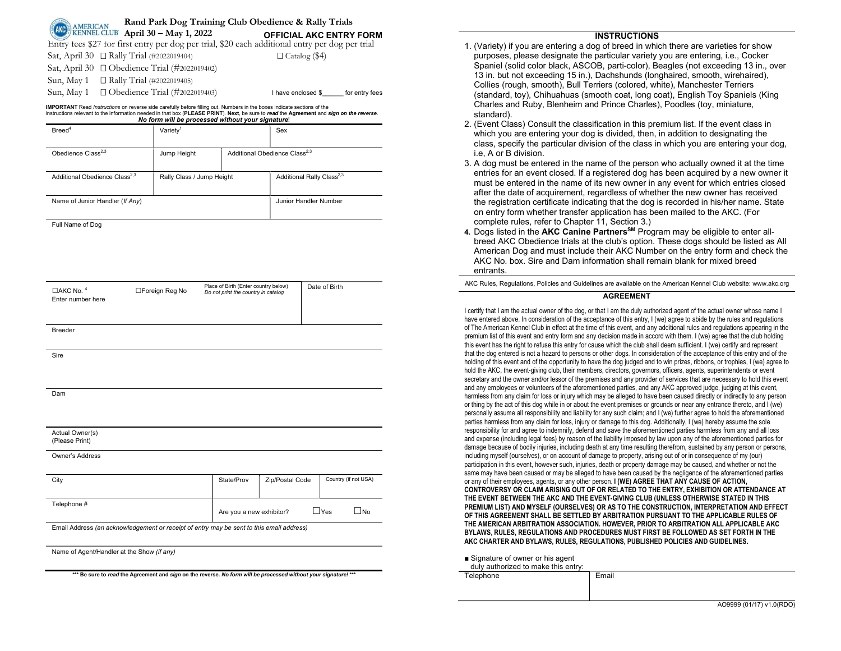|                                             | Rand Park Dog Training Club Obedience & Rally Trials                                            |
|---------------------------------------------|-------------------------------------------------------------------------------------------------|
| <b>(ACC)</b> AMERICAN Rand Park Dog Trainin | <b>OFFICIAL AKC ENTRY FORM</b>                                                                  |
|                                             | Entry fees \$27 for first entry per dog per trial, \$20 each additional entry per dog per trial |

Sat, April 30  $\Box$  Rally Trial (#2022019404)  $\Box$  Catalog (\$4)

Sat, April 30 Obedience Trial (#2022019402)

Sun, May 1 □ Rally Trial (#2022019405)

Sun, May 1 Obedience Trial (#2022019403)

I have enclosed \$\_\_\_\_\_\_ for entry fees

#### IMPORTANT Read Instructions on reverse side carefully before filling out. Numbers in the boxes indicate sections of the instructions relevant to the information needed in that box (PLEASE PRINT). Next, be sure to read the Agreement and sign on the reverse. No form will be processed without your signature!

|                                           |                           | . . <i>.</i> |                                           |
|-------------------------------------------|---------------------------|--------------|-------------------------------------------|
| Breed <sup>4</sup>                        | Variety <sup>1</sup>      |              | Sex                                       |
| Obedience Class <sup>2,3</sup>            |                           |              | Additional Obedience Class <sup>2,3</sup> |
|                                           | Jump Height               |              |                                           |
| Additional Obedience Class <sup>2,3</sup> | Rally Class / Jump Height |              | Additional Rally Class <sup>2,3</sup>     |
| Name of Junior Handler (If Any)           |                           |              | Junior Handler Number                     |

Full Name of Dog

| $\Box$ AKC No. $4$<br>Enter number here    | □Foreign Reg No                                                                                                  | Place of Birth (Enter country below)<br>Do not print the country in catalog |                 | Date of Birth              |
|--------------------------------------------|------------------------------------------------------------------------------------------------------------------|-----------------------------------------------------------------------------|-----------------|----------------------------|
|                                            |                                                                                                                  |                                                                             |                 |                            |
| <b>Breeder</b>                             |                                                                                                                  |                                                                             |                 |                            |
| Sire                                       |                                                                                                                  |                                                                             |                 |                            |
|                                            |                                                                                                                  |                                                                             |                 |                            |
| Dam                                        |                                                                                                                  |                                                                             |                 |                            |
|                                            |                                                                                                                  |                                                                             |                 |                            |
| Actual Owner(s)<br>(Please Print)          |                                                                                                                  |                                                                             |                 |                            |
| Owner's Address                            |                                                                                                                  |                                                                             |                 |                            |
| City                                       |                                                                                                                  | State/Prov                                                                  | Zip/Postal Code | Country (if not USA)       |
| Telephone #                                |                                                                                                                  | Are you a new exhibitor?                                                    |                 | $\Box$ Yes<br>$\square$ No |
|                                            | Email Address (an acknowledgement or receipt of entry may be sent to this email address)                         |                                                                             |                 |                            |
| Name of Agent/Handler at the Show (if any) |                                                                                                                  |                                                                             |                 |                            |
|                                            | *** Be sure to read the Agreement and sign on the reverse. No form will be processed without your signature! *** |                                                                             |                 |                            |

INSTRUCTIONS

- 1. (Variety) if you are entering a dog of breed in which there are varieties for show purposes, please designate the particular variety you are entering, i.e., Cocker Spaniel (solid color black, ASCOB, parti-color), Beagles (not exceeding 13 in., over 13 in. but not exceeding 15 in.), Dachshunds (longhaired, smooth, wirehaired), Collies (rough, smooth), Bull Terriers (colored, white), Manchester Terriers (standard, toy), Chihuahuas (smooth coat, long coat), English Toy Spaniels (King Charles and Ruby, Blenheim and Prince Charles), Poodles (toy, miniature, standard).
- 2. (Event Class) Consult the classification in this premium list. If the event class in which you are entering your dog is divided, then, in addition to designating the class, specify the particular division of the class in which you are entering your dog, i.e, A or B division.
- 3. A dog must be entered in the name of the person who actually owned it at the time entries for an event closed. If a registered dog has been acquired by a new owner it must be entered in the name of its new owner in any event for which entries closed after the date of acquirement, regardless of whether the new owner has received the registration certificate indicating that the dog is recorded in his/her name. State on entry form whether transfer application has been mailed to the AKC. (For complete rules, refer to Chapter 11, Section 3.)
- 4. Dogs listed in the AKC Canine Partners<sup>SM</sup> Program may be eligible to enter allbreed AKC Obedience trials at the club's option. These dogs should be listed as All American Dog and must include their AKC Number on the entry form and check the AKC No. box. Sire and Dam information shall remain blank for mixed breed entrants.

AKC Rules, Regulations, Policies and Guidelines are available on the American Kennel Club website: www.akc.org

#### AGREEMENT

I certify that I am the actual owner of the dog, or that I am the duly authorized agent of the actual owner whose name I have entered above. In consideration of the acceptance of this entry, I (we) agree to abide by the rules and regulations of The American Kennel Club in effect at the time of this event, and any additional rules and regulations appearing in the premium list of this event and entry form and any decision made in accord with them. I (we) agree that the club holding this event has the right to refuse this entry for cause which the club shall deem sufficient. I (we) certify and represent that the dog entered is not a hazard to persons or other dogs. In consideration of the acceptance of this entry and of the holding of this event and of the opportunity to have the dog judged and to win prizes, ribbons, or trophies, I (we) agree to hold the AKC, the event-giving club, their members, directors, governors, officers, agents, superintendents or event secretary and the owner and/or lessor of the premises and any provider of services that are necessary to hold this event and any employees or volunteers of the aforementioned parties, and any AKC approved judge, judging at this event, harmless from any claim for loss or injury which may be alleged to have been caused directly or indirectly to any person or thing by the act of this dog while in or about the event premises or grounds or near any entrance thereto, and I (we) personally assume all responsibility and liability for any such claim; and I (we) further agree to hold the aforementioned parties harmless from any claim for loss, injury or damage to this dog. Additionally, I (we) hereby assume the sole responsibility for and agree to indemnify, defend and save the aforementioned parties harmless from any and all loss and expense (including legal fees) by reason of the liability imposed by law upon any of the aforementioned parties for damage because of bodily injuries, including death at any time resulting therefrom, sustained by any person or persons, including myself (ourselves), or on account of damage to property, arising out of or in consequence of my (our) participation in this event, however such, injuries, death or property damage may be caused, and whether or not the same may have been caused or may be alleged to have been caused by the negligence of the aforementioned parties or any of their employees, agents, or any other person. I (WE) AGREE THAT ANY CAUSE OF ACTION, CONTROVERSY OR CLAIM ARISING OUT OF OR RELATED TO THE ENTRY, EXHIBITION OR ATTENDANCE AT THE EVENT BETWEEN THE AKC AND THE EVENT-GIVING CLUB (UNLESS OTHERWISE STATED IN THIS PREMIUM LIST) AND MYSELF (OURSELVES) OR AS TO THE CONSTRUCTION, INTERPRETATION AND EFFECT OF THIS AGREEMENT SHALL BE SETTLED BY ARBITRATION PURSUANT TO THE APPLICABLE RULES OF THE AMERICAN ARBITRATION ASSOCIATION. HOWEVER, PRIOR TO ARBITRATION ALL APPLICABLE AKC BYLAWS, RULES, REGULATIONS AND PROCEDURES MUST FIRST BE FOLLOWED AS SET FORTH IN THE AKC CHARTER AND BYLAWS, RULES, REGULATIONS, PUBLISHED POLICIES AND GUIDELINES.

■ Signature of owner or his agent

duly authorized to make this entry:

Telephone **Email** 

AO9999 (01/17) v1.0(RDO)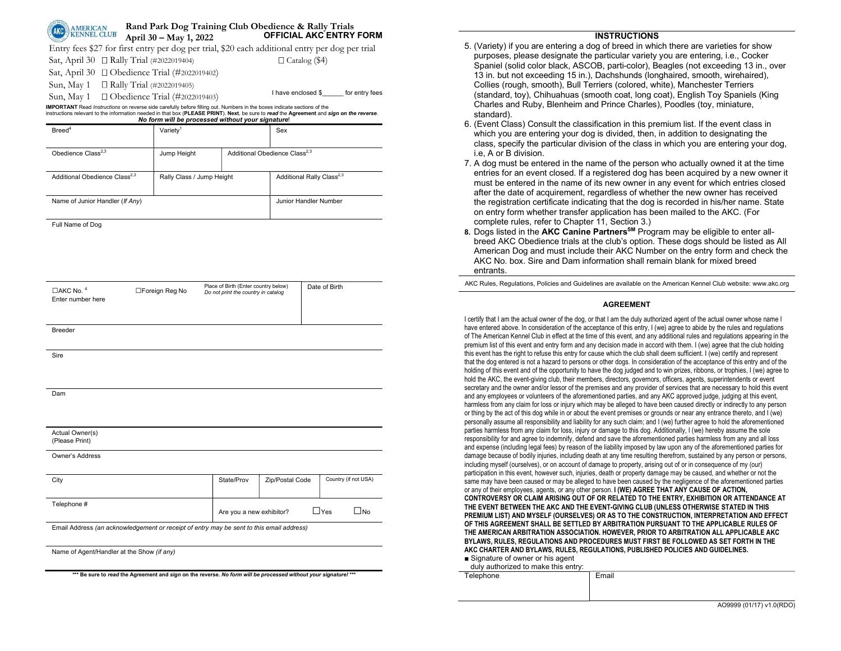| AKCE AMERIC |
|-------------|
|             |
|             |

#### OFFICIAL AKC ENTRY FORM Rand Park Dog Training Club Obedience & Rally Trials CLUB April  $30 - \text{May } 1, 2022$

I have enclosed \$\_\_\_\_\_\_ for entry fees

Entry fees \$27 for first entry per dog per trial, \$20 each additional entry per dog per trial

Sat, April 30  $\Box$  Rally Trial (#2022019404)  $\Box$  Catalog (\$4)

Sat, April 30 Obedience Trial (#2022019402)

Sun, May 1 □ Rally Trial (#2022019405)

Sun, May 1 Obedience Trial (#2022019403)

IMPORTANT Read Instructions on reverse side carefully before filling out. Numbers in the boxes indicate sections of the instructions relevant to the information needed in that box (PLEASE PRINT). Next, be sure to read the Agreement and sign on the reverse.

| No form will be processed without your signature! |                           |                                           |                                       |  |  |
|---------------------------------------------------|---------------------------|-------------------------------------------|---------------------------------------|--|--|
| Breed <sup>4</sup>                                | Variety <sup>1</sup>      |                                           | Sex                                   |  |  |
| Obedience Class <sup>2,3</sup>                    | Jump Height               | Additional Obedience Class <sup>2,3</sup> |                                       |  |  |
| Additional Obedience Class <sup>2,3</sup>         | Rally Class / Jump Height |                                           | Additional Rally Class <sup>2,3</sup> |  |  |
| Name of Junior Handler (If Any)                   |                           |                                           | Junior Handler Number                 |  |  |

Full Name of Dog

| $\Box$ AKC No. $4$<br>Enter number here    | □Foreign Reg No                                                                                                  | Place of Birth (Enter country below)<br>Do not print the country in catalog |                 | Date of Birth              |
|--------------------------------------------|------------------------------------------------------------------------------------------------------------------|-----------------------------------------------------------------------------|-----------------|----------------------------|
|                                            |                                                                                                                  |                                                                             |                 |                            |
| <b>Breeder</b>                             |                                                                                                                  |                                                                             |                 |                            |
| Sire                                       |                                                                                                                  |                                                                             |                 |                            |
|                                            |                                                                                                                  |                                                                             |                 |                            |
| Dam                                        |                                                                                                                  |                                                                             |                 |                            |
|                                            |                                                                                                                  |                                                                             |                 |                            |
| Actual Owner(s)<br>(Please Print)          |                                                                                                                  |                                                                             |                 |                            |
| Owner's Address                            |                                                                                                                  |                                                                             |                 |                            |
| City                                       |                                                                                                                  | State/Prov                                                                  | Zip/Postal Code | Country (if not USA)       |
| Telephone #                                |                                                                                                                  | Are you a new exhibitor?                                                    |                 | $\Box$ Yes<br>$\square$ No |
|                                            | Email Address (an acknowledgement or receipt of entry may be sent to this email address)                         |                                                                             |                 |                            |
| Name of Agent/Handler at the Show (if any) |                                                                                                                  |                                                                             |                 |                            |
|                                            | *** Be sure to read the Agreement and sign on the reverse. No form will be processed without your signature! *** |                                                                             |                 |                            |

**INSTRUCTIONS** 

- 5. (Variety) if you are entering a dog of breed in which there are varieties for show purposes, please designate the particular variety you are entering, i.e., Cocker Spaniel (solid color black, ASCOB, parti-color), Beagles (not exceeding 13 in., over 13 in. but not exceeding 15 in.), Dachshunds (longhaired, smooth, wirehaired), Collies (rough, smooth), Bull Terriers (colored, white), Manchester Terriers (standard, toy), Chihuahuas (smooth coat, long coat), English Toy Spaniels (King Charles and Ruby, Blenheim and Prince Charles), Poodles (toy, miniature, standard).
- 6. (Event Class) Consult the classification in this premium list. If the event class in which you are entering your dog is divided, then, in addition to designating the class, specify the particular division of the class in which you are entering your dog, i.e, A or B division.
- 7. A dog must be entered in the name of the person who actually owned it at the time entries for an event closed. If a registered dog has been acquired by a new owner it must be entered in the name of its new owner in any event for which entries closed after the date of acquirement, regardless of whether the new owner has received the registration certificate indicating that the dog is recorded in his/her name. State on entry form whether transfer application has been mailed to the AKC. (For complete rules, refer to Chapter 11, Section 3.)
- 8. Dogs listed in the AKC Canine Partners<sup>SM</sup> Program may be eligible to enter allbreed AKC Obedience trials at the club's option. These dogs should be listed as All American Dog and must include their AKC Number on the entry form and check the AKC No. box. Sire and Dam information shall remain blank for mixed breed entrants.

AKC Rules, Regulations, Policies and Guidelines are available on the American Kennel Club website: www.akc.org

#### **AGREEMENT**

I certify that I am the actual owner of the dog, or that I am the duly authorized agent of the actual owner whose name I have entered above. In consideration of the acceptance of this entry, I (we) agree to abide by the rules and regulations of The American Kennel Club in effect at the time of this event, and any additional rules and regulations appearing in the premium list of this event and entry form and any decision made in accord with them. I (we) agree that the club holding this event has the right to refuse this entry for cause which the club shall deem sufficient. I (we) certify and represent that the dog entered is not a hazard to persons or other dogs. In consideration of the acceptance of this entry and of the holding of this event and of the opportunity to have the dog judged and to win prizes, ribbons, or trophies, I (we) agree to hold the AKC, the event-giving club, their members, directors, governors, officers, agents, superintendents or event secretary and the owner and/or lessor of the premises and any provider of services that are necessary to hold this event and any employees or volunteers of the aforementioned parties, and any AKC approved judge, judging at this event, harmless from any claim for loss or injury which may be alleged to have been caused directly or indirectly to any person or thing by the act of this dog while in or about the event premises or grounds or near any entrance thereto, and I (we) personally assume all responsibility and liability for any such claim; and I (we) further agree to hold the aforementioned parties harmless from any claim for loss, injury or damage to this dog. Additionally, I (we) hereby assume the sole responsibility for and agree to indemnify, defend and save the aforementioned parties harmless from any and all loss and expense (including legal fees) by reason of the liability imposed by law upon any of the aforementioned parties for damage because of bodily injuries, including death at any time resulting therefrom, sustained by any person or persons, including myself (ourselves), or on account of damage to property, arising out of or in consequence of my (our) participation in this event, however such, injuries, death or property damage may be caused, and whether or not the same may have been caused or may be alleged to have been caused by the negligence of the aforementioned parties or any of their employees, agents, or any other person. I (WE) AGREE THAT ANY CAUSE OF ACTION, CONTROVERSY OR CLAIM ARISING OUT OF OR RELATED TO THE ENTRY, EXHIBITION OR ATTENDANCE AT THE EVENT BETWEEN THE AKC AND THE EVENT-GIVING CLUB (UNLESS OTHERWISE STATED IN THIS PREMIUM LIST) AND MYSELF (OURSELVES) OR AS TO THE CONSTRUCTION, INTERPRETATION AND EFFECT OF THIS AGREEMENT SHALL BE SETTLED BY ARBITRATION PURSUANT TO THE APPLICABLE RULES OF THE AMERICAN ARBITRATION ASSOCIATION. HOWEVER, PRIOR TO ARBITRATION ALL APPLICABLE AKC BYLAWS, RULES, REGULATIONS AND PROCEDURES MUST FIRST BE FOLLOWED AS SET FORTH IN THE AKC CHARTER AND BYLAWS, RULES, REGULATIONS, PUBLISHED POLICIES AND GUIDELINES.

■ Signature of owner or his agent

 duly authorized to make this entry: Telephone **Email**